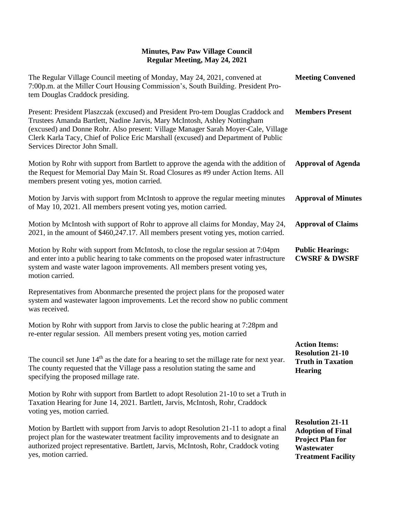| The Regular Village Council meeting of Monday, May 24, 2021, convened at<br>7:00p.m. at the Miller Court Housing Commission's, South Building. President Pro-<br>tem Douglas Craddock presiding.                                                                                                                                                                           | <b>Meeting Convened</b>                                                                                                   |
|----------------------------------------------------------------------------------------------------------------------------------------------------------------------------------------------------------------------------------------------------------------------------------------------------------------------------------------------------------------------------|---------------------------------------------------------------------------------------------------------------------------|
| Present: President Plaszczak (excused) and President Pro-tem Douglas Craddock and<br>Trustees Amanda Bartlett, Nadine Jarvis, Mary McIntosh, Ashley Nottingham<br>(excused) and Donne Rohr. Also present: Village Manager Sarah Moyer-Cale, Village<br>Clerk Karla Tacy, Chief of Police Eric Marshall (excused) and Department of Public<br>Services Director John Small. | <b>Members Present</b>                                                                                                    |
| Motion by Rohr with support from Bartlett to approve the agenda with the addition of<br>the Request for Memorial Day Main St. Road Closures as #9 under Action Items. All<br>members present voting yes, motion carried.                                                                                                                                                   | <b>Approval of Agenda</b>                                                                                                 |
| Motion by Jarvis with support from McIntosh to approve the regular meeting minutes<br>of May 10, 2021. All members present voting yes, motion carried.                                                                                                                                                                                                                     | <b>Approval of Minutes</b>                                                                                                |
| Motion by McIntosh with support of Rohr to approve all claims for Monday, May 24,<br>2021, in the amount of \$460,247.17. All members present voting yes, motion carried.                                                                                                                                                                                                  | <b>Approval of Claims</b>                                                                                                 |
| Motion by Rohr with support from McIntosh, to close the regular session at 7:04pm<br>and enter into a public hearing to take comments on the proposed water infrastructure<br>system and waste water lagoon improvements. All members present voting yes,<br>motion carried.                                                                                               | <b>Public Hearings:</b><br><b>CWSRF &amp; DWSRF</b>                                                                       |
| Representatives from Abonmarche presented the project plans for the proposed water<br>system and wastewater lagoon improvements. Let the record show no public comment<br>was received.                                                                                                                                                                                    |                                                                                                                           |
| Motion by Rohr with support from Jarvis to close the public hearing at 7:28pm and<br>re-enter regular session. All members present voting yes, motion carried                                                                                                                                                                                                              |                                                                                                                           |
| The council set June $14th$ as the date for a hearing to set the millage rate for next year.<br>The county requested that the Village pass a resolution stating the same and<br>specifying the proposed millage rate.                                                                                                                                                      | <b>Action Items:</b><br><b>Resolution 21-10</b><br><b>Truth in Taxation</b><br><b>Hearing</b>                             |
| Motion by Rohr with support from Bartlett to adopt Resolution 21-10 to set a Truth in<br>Taxation Hearing for June 14, 2021. Bartlett, Jarvis, McIntosh, Rohr, Craddock<br>voting yes, motion carried.                                                                                                                                                                     |                                                                                                                           |
| Motion by Bartlett with support from Jarvis to adopt Resolution 21-11 to adopt a final<br>project plan for the wastewater treatment facility improvements and to designate an<br>authorized project representative. Bartlett, Jarvis, McIntosh, Rohr, Craddock voting<br>yes, motion carried.                                                                              | <b>Resolution 21-11</b><br><b>Adoption of Final</b><br><b>Project Plan for</b><br>Wastewater<br><b>Treatment Facility</b> |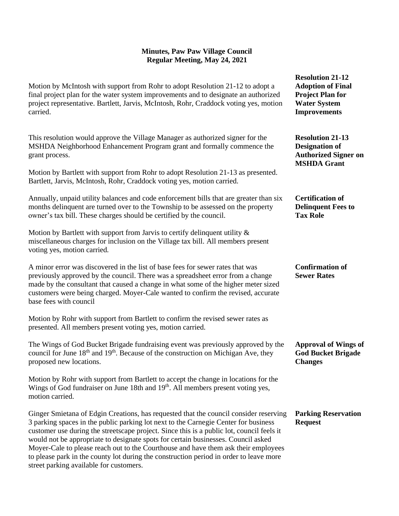Motion by McIntosh with support from Rohr to adopt Resolution 21-12 to adopt a final project plan for the water system improvements and to designate an authorized project representative. Bartlett, Jarvis, McIntosh, Rohr, Craddock voting yes, motion carried.

This resolution would approve the Village Manager as authorized signer for the MSHDA Neighborhood Enhancement Program grant and formally commence the grant process.

Motion by Bartlett with support from Rohr to adopt Resolution 21-13 as presented. Bartlett, Jarvis, McIntosh, Rohr, Craddock voting yes, motion carried.

Annually, unpaid utility balances and code enforcement bills that are greater than six months delinquent are turned over to the Township to be assessed on the property owner's tax bill. These charges should be certified by the council.

Motion by Bartlett with support from Jarvis to certify delinquent utility  $\&$ miscellaneous charges for inclusion on the Village tax bill. All members present voting yes, motion carried.

A minor error was discovered in the list of base fees for sewer rates that was previously approved by the council. There was a spreadsheet error from a change made by the consultant that caused a change in what some of the higher meter sized customers were being charged. Moyer-Cale wanted to confirm the revised, accurate base fees with council

Motion by Rohr with support from Bartlett to confirm the revised sewer rates as presented. All members present voting yes, motion carried.

The Wings of God Bucket Brigade fundraising event was previously approved by the council for June  $18<sup>th</sup>$  and  $19<sup>th</sup>$ . Because of the construction on Michigan Ave, they proposed new locations.

Motion by Rohr with support from Bartlett to accept the change in locations for the Wings of God fundraiser on June 18th and 19<sup>th</sup>. All members present voting yes, motion carried.

Ginger Smietana of Edgin Creations, has requested that the council consider reserving 3 parking spaces in the public parking lot next to the Carnegie Center for business customer use during the streetscape project. Since this is a public lot, council feels it would not be appropriate to designate spots for certain businesses. Council asked Moyer-Cale to please reach out to the Courthouse and have them ask their employees to please park in the county lot during the construction period in order to leave more street parking available for customers.

**Resolution 21-12 Adoption of Final Project Plan for Water System Improvements**

**Resolution 21-13 Designation of Authorized Signer on MSHDA Grant**

**Certification of Delinquent Fees to Tax Role**

**Confirmation of Sewer Rates**

**Approval of Wings of God Bucket Brigade Changes**

**Parking Reservation Request**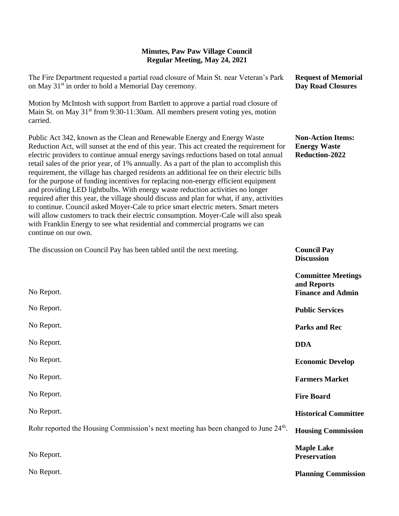| The Fire Department requested a partial road closure of Main St. near Veteran's Park<br>on May 31 <sup>st</sup> in order to hold a Memorial Day ceremony.                                                                                                                                                                                                                                                                                                                                                                                                                                                                                                                                                                                                                                                                                                                                                                                                                                                        | <b>Request of Memorial</b><br><b>Day Road Closures</b>               |
|------------------------------------------------------------------------------------------------------------------------------------------------------------------------------------------------------------------------------------------------------------------------------------------------------------------------------------------------------------------------------------------------------------------------------------------------------------------------------------------------------------------------------------------------------------------------------------------------------------------------------------------------------------------------------------------------------------------------------------------------------------------------------------------------------------------------------------------------------------------------------------------------------------------------------------------------------------------------------------------------------------------|----------------------------------------------------------------------|
| Motion by McIntosh with support from Bartlett to approve a partial road closure of<br>Main St. on May 31 <sup>st</sup> from 9:30-11:30am. All members present voting yes, motion<br>carried.                                                                                                                                                                                                                                                                                                                                                                                                                                                                                                                                                                                                                                                                                                                                                                                                                     |                                                                      |
| Public Act 342, known as the Clean and Renewable Energy and Energy Waste<br>Reduction Act, will sunset at the end of this year. This act created the requirement for<br>electric providers to continue annual energy savings reductions based on total annual<br>retail sales of the prior year, of 1% annually. As a part of the plan to accomplish this<br>requirement, the village has charged residents an additional fee on their electric bills<br>for the purpose of funding incentives for replacing non-energy efficient equipment<br>and providing LED lightbulbs. With energy waste reduction activities no longer<br>required after this year, the village should discuss and plan for what, if any, activities<br>to continue. Council asked Moyer-Cale to price smart electric meters. Smart meters<br>will allow customers to track their electric consumption. Moyer-Cale will also speak<br>with Franklin Energy to see what residential and commercial programs we can<br>continue on our own. | <b>Non-Action Items:</b><br><b>Energy Waste</b><br>Reduction-2022    |
| The discussion on Council Pay has been tabled until the next meeting.                                                                                                                                                                                                                                                                                                                                                                                                                                                                                                                                                                                                                                                                                                                                                                                                                                                                                                                                            | <b>Council Pay</b><br><b>Discussion</b>                              |
| No Report.                                                                                                                                                                                                                                                                                                                                                                                                                                                                                                                                                                                                                                                                                                                                                                                                                                                                                                                                                                                                       | <b>Committee Meetings</b><br>and Reports<br><b>Finance and Admin</b> |
| No Report.                                                                                                                                                                                                                                                                                                                                                                                                                                                                                                                                                                                                                                                                                                                                                                                                                                                                                                                                                                                                       | <b>Public Services</b>                                               |
| No Report.                                                                                                                                                                                                                                                                                                                                                                                                                                                                                                                                                                                                                                                                                                                                                                                                                                                                                                                                                                                                       | <b>Parks and Rec</b>                                                 |
| No Report.                                                                                                                                                                                                                                                                                                                                                                                                                                                                                                                                                                                                                                                                                                                                                                                                                                                                                                                                                                                                       | <b>DDA</b>                                                           |
| No Report.                                                                                                                                                                                                                                                                                                                                                                                                                                                                                                                                                                                                                                                                                                                                                                                                                                                                                                                                                                                                       | <b>Economic Develop</b>                                              |
| No Report.                                                                                                                                                                                                                                                                                                                                                                                                                                                                                                                                                                                                                                                                                                                                                                                                                                                                                                                                                                                                       | <b>Farmers Market</b>                                                |
| No Report.                                                                                                                                                                                                                                                                                                                                                                                                                                                                                                                                                                                                                                                                                                                                                                                                                                                                                                                                                                                                       | <b>Fire Board</b>                                                    |
| No Report.                                                                                                                                                                                                                                                                                                                                                                                                                                                                                                                                                                                                                                                                                                                                                                                                                                                                                                                                                                                                       | <b>Historical Committee</b>                                          |
| Rohr reported the Housing Commission's next meeting has been changed to June 24 <sup>th</sup> .                                                                                                                                                                                                                                                                                                                                                                                                                                                                                                                                                                                                                                                                                                                                                                                                                                                                                                                  | <b>Housing Commission</b>                                            |
| No Report.                                                                                                                                                                                                                                                                                                                                                                                                                                                                                                                                                                                                                                                                                                                                                                                                                                                                                                                                                                                                       | <b>Maple Lake</b><br><b>Preservation</b>                             |
| No Report.                                                                                                                                                                                                                                                                                                                                                                                                                                                                                                                                                                                                                                                                                                                                                                                                                                                                                                                                                                                                       | <b>Planning Commission</b>                                           |